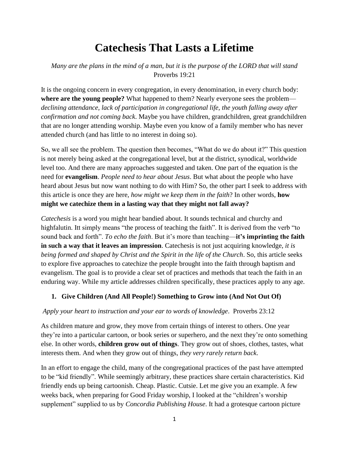# **Catechesis That Lasts a Lifetime**

## *Many are the plans in the mind of a man, but it is the purpose of the LORD that will stand* Proverbs 19:21

It is the ongoing concern in every congregation, in every denomination, in every church body: **where are the young people?** What happened to them? Nearly everyone sees the problem *declining attendance, lack of participation in congregational life, the youth falling away after confirmation and not coming back*. Maybe you have children, grandchildren, great grandchildren that are no longer attending worship. Maybe even you know of a family member who has never attended church (and has little to no interest in doing so).

So, we all see the problem. The question then becomes, "What do we do about it?" This question is not merely being asked at the congregational level, but at the district, synodical, worldwide level too. And there are many approaches suggested and taken. One part of the equation is the need for **evangelism**. *People need to hear about Jesus*. But what about the people who have heard about Jesus but now want nothing to do with Him? So, the other part I seek to address with this article is once they are here, *how might we keep them in the faith*? In other words, **how might we catechize them in a lasting way that they might not fall away?**

*Catechesis* is a word you might hear bandied about. It sounds technical and churchy and highfalutin. Itt simply means "the process of teaching the faith". It is derived from the verb "to sound back and forth". *To echo the faith*. But it's more than teaching—**it's imprinting the faith in such a way that it leaves an impression**. Catechesis is not just acquiring knowledge, *it is being formed and shaped by Christ and the Spirit in the life of the Church*. So, this article seeks to explore five approaches to catechize the people brought into the faith through baptism and evangelism. The goal is to provide a clear set of practices and methods that teach the faith in an enduring way. While my article addresses children specifically, these practices apply to any age.

#### **1. Give Children (And All People!) Something to Grow into (And Not Out Of)**

#### *Apply your heart to instruction and your ear to words of knowledge*. Proverbs 23:12

As children mature and grow, they move from certain things of interest to others. One year they're into a particular cartoon, or book series or superhero, and the next they're onto something else. In other words, **children grow out of things**. They grow out of shoes, clothes, tastes, what interests them. And when they grow out of things, *they very rarely return back*.

In an effort to engage the child, many of the congregational practices of the past have attempted to be "kid friendly". While seemingly arbitrary, these practices share certain characteristics. Kid friendly ends up being cartoonish. Cheap. Plastic. Cutsie. Let me give you an example. A few weeks back, when preparing for Good Friday worship, I looked at the "children's worship supplement" supplied to us by *Concordia Publishing House*. It had a grotesque cartoon picture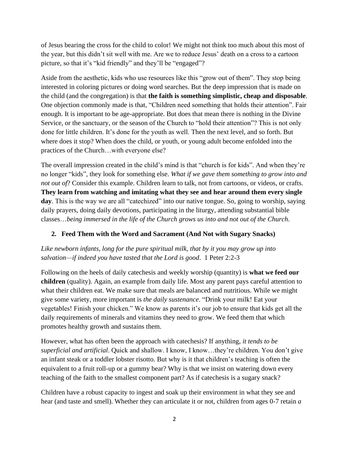of Jesus bearing the cross for the child to color! We might not think too much about this most of the year, but this didn't sit well with me. Are we to reduce Jesus' death on a cross to a cartoon picture, so that it's "kid friendly" and they'll be "engaged"?

Aside from the aesthetic, kids who use resources like this "grow out of them". They stop being interested in coloring pictures or doing word searches. But the deep impression that is made on the child (and the congregation) is that **the faith is something simplistic, cheap and disposable**. One objection commonly made is that, "Children need something that holds their attention". Fair enough. It is important to be age-appropriate. But does that mean there is nothing in the Divine Service, or the sanctuary, or the season of the Church to "hold their attention"? This is not only done for little children. It's done for the youth as well. Then the next level, and so forth. But where does it stop? When does the child, or youth, or young adult become enfolded into the practices of the Church…with everyone else?

The overall impression created in the child's mind is that "church is for kids". And when they're no longer "kids", they look for something else. *What if we gave them something to grow into and not out of*? Consider this example. Children learn to talk, not from cartoons, or videos, or crafts. **They learn from watching and imitating what they see and hear around them every single**  day. This is the way we are all "catechized" into our native tongue. So, going to worship, saying daily prayers, doing daily devotions, participating in the liturgy, attending substantial bible classes…*being immersed in the life of the Church grows us into and not out of the Church*.

# **2. Feed Them with the Word and Sacrament (And Not with Sugary Snacks)**

*Like newborn infants, long for the pure spiritual milk, that by it you may grow up into salvation—if indeed you have tasted that the Lord is good*. 1 Peter 2:2-3

Following on the heels of daily catechesis and weekly worship (quantity) is **what we feed our children** (quality). Again, an example from daily life. Most any parent pays careful attention to what their children eat. We make sure that meals are balanced and nutritious. While we might give some variety, more important is *the daily sustenance*. "Drink your milk! Eat your vegetables! Finish your chicken." We know as parents it's our job to ensure that kids get all the daily requirements of minerals and vitamins they need to grow. We feed them that which promotes healthy growth and sustains them.

However, what has often been the approach with catechesis? If anything, *it tends to be superficial and artificial*. Quick and shallow. I know, I know…they're children. You don't give an infant steak or a toddler lobster risotto. But why is it that children's teaching is often the equivalent to a fruit roll-up or a gummy bear? Why is that we insist on watering down every teaching of the faith to the smallest component part? As if catechesis is a sugary snack?

Children have a robust capacity to ingest and soak up their environment in what they see and hear (and taste and smell). Whether they can articulate it or not, children from ages 0-7 retain *a*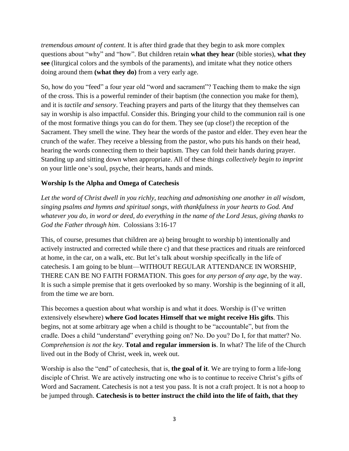*tremendous amount of content*. It is after third grade that they begin to ask more complex questions about "why" and "how". But children retain **what they hear** (bible stories), **what they see** (liturgical colors and the symbols of the paraments), and imitate what they notice others doing around them **(what they do)** from a very early age.

So, how do you "feed" a four year old "word and sacrament"? Teaching them to make the sign of the cross. This is a powerful reminder of their baptism (the connection you make for them), and it is *tactile and sensory*. Teaching prayers and parts of the liturgy that they themselves can say in worship is also impactful. Consider this. Bringing your child to the communion rail is one of the most formative things you can do for them. They see (up close!) the reception of the Sacrament. They smell the wine. They hear the words of the pastor and elder. They even hear the crunch of the wafer. They receive a blessing from the pastor, who puts his hands on their head, hearing the words connecting them to their baptism. They can fold their hands during prayer. Standing up and sitting down when appropriate. All of these things *collectively begin to imprint* on your little one's soul, psyche, their hearts, hands and minds.

## **Worship Is the Alpha and Omega of Catechesis**

Let the word of Christ dwell in you richly, teaching and admonishing one another in all wisdom, *singing psalms and hymns and spiritual songs, with thankfulness in your hearts to God. And whatever you do, in word or deed, do everything in the name of the Lord Jesus, giving thanks to God the Father through him*. Colossians 3:16-17

This, of course, presumes that children are a) being brought to worship b) intentionally and actively instructed and corrected while there c) and that these practices and rituals are reinforced at home, in the car, on a walk, etc. But let's talk about worship specifically in the life of catechesis. I am going to be blunt—WITHOUT REGULAR ATTENDANCE IN WORSHIP, THERE CAN BE NO FAITH FORMATION. This goes for *any person of any age*, by the way. It is such a simple premise that it gets overlooked by so many. Worship is the beginning of it all, from the time we are born.

This becomes a question about what worship is and what it does. Worship is (I've written extensively elsewhere) **where God locates Himself that we might receive His gifts**. This begins, not at some arbitrary age when a child is thought to be "accountable", but from the cradle. Does a child "understand" everything going on? No. Do you? Do I, for that matter? No. *Comprehension is not the key*. **Total and regular immersion is**. In what? The life of the Church lived out in the Body of Christ, week in, week out.

Worship is also the "end" of catechesis, that is, **the goal of it**. We are trying to form a life-long disciple of Christ. We are actively instructing one who is to continue to receive Christ's gifts of Word and Sacrament. Catechesis is not a test you pass. It is not a craft project. It is not a hoop to be jumped through. **Catechesis is to better instruct the child into the life of faith, that they**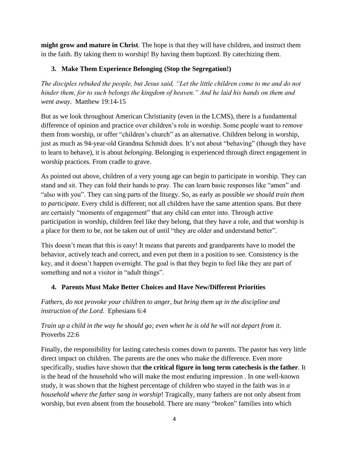**might grow and mature in Christ**. The hope is that they will have children, and instruct them in the faith. By taking them to worship! By having them baptized. By catechizing them.

# **3. Make Them Experience Belonging (Stop the Segregation!)**

*The disciples rebuked the people, but Jesus said, "Let the little children come to me and do not hinder them, for to such belongs the kingdom of heaven." And he laid his hands on them and went away*. Matthew 19:14-15

But as we look throughout American Christianity (even in the LCMS), there is a fundamental difference of opinion and practice over children's role in worship. Some people want to *remove* them from worship, or offer "children's church" as an alternative. Children belong in worship, just as much as 94-year-old Grandma Schmidt does. It's not about "behaving" (though they have to learn to behave), it is about *belonging*. Belonging is experienced through direct engagement in worship practices. From cradle to grave.

As pointed out above, children of a very young age can begin to participate in worship. They can stand and sit. They can fold their hands to pray. The can learn basic responses like "amen" and "also with you". They can sing parts of the liturgy. So, as early as possible *we should train them to participate*. Every child is different; not all children have the same attention spans. But there are certainly "moments of engagement" that any child can enter into. Through active participation in worship, children feel like they belong, that they have a role, and that worship is a place for them to be, not be taken out of until "they are older and understand better".

This doesn't mean that this is easy! It means that parents and grandparents have to model the behavior, actively teach and correct, and even put them in a position to see. Consistency is the key, and it doesn't happen overnight. The goal is that they begin to feel like they are part of something and not a visitor in "adult things".

# **4. Parents Must Make Better Choices and Have New/Different Priorities**

*Fathers, do not provoke your children to anger, but bring them up in the discipline and instruction of the Lord*. Ephesians 6:4

# *Train up a child in the way he should go; even when he is old he will not depart from it.*  Proverbs 22:6

Finally, the responsibility for lasting catechesis comes down to parents. The pastor has very little direct impact on children. The parents are the ones who make the difference. Even more specifically, studies have shown that **the critical figure in long term catechesis is the father**. It is the head of the household who will make the most enduring impression . In one well-known study, it was shown that the highest percentage of children who stayed in the faith was in *a household where the father sang in worship*! Tragically, many fathers are not only absent from worship, but even absent from the household. There are many "broken" families into which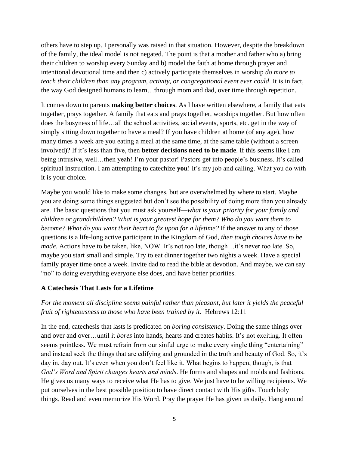others have to step up. I personally was raised in that situation. However, despite the breakdown of the family, the ideal model is not negated. The point is that a mother and father who a) bring their children to worship every Sunday and b) model the faith at home through prayer and intentional devotional time and then c) actively participate themselves in worship *do more to teach their children than any program, activity, or congregational event ever could*. It is in fact, the way God designed humans to learn…through mom and dad, over time through repetition.

It comes down to parents **making better choices**. As I have written elsewhere, a family that eats together, prays together. A family that eats and prays together, worships together. But how often does the busyness of life…all the school activities, social events, sports, etc. get in the way of simply sitting down together to have a meal? If you have children at home (of any age), how many times a week are you eating a meal at the same time, at the same table (without a screen involved)? If it's less than five, then **better decisions need to be made**. If this seems like I am being intrusive, well...then yeah! I'm your pastor! Pastors get into people's business. It's called spiritual instruction. I am attempting to catechize **you**! It's my job and calling. What you do with it is your choice.

Maybe you would like to make some changes, but are overwhelmed by where to start. Maybe you are doing some things suggested but don't see the possibility of doing more than you already are. The basic questions that you must ask yourself—*what is your priority for your family and children or grandchildren? What is your greatest hope for them? Who do you want them to become? What do you want their heart to fix upon for a lifetime?* If the answer to any of those questions is a life-long active participant in the Kingdom of God, *then tough choices have to be made*. Actions have to be taken, like, NOW. It's not too late, though…it's never too late. So, maybe you start small and simple. Try to eat dinner together two nights a week. Have a special family prayer time once a week. Invite dad to read the bible at devotion. And maybe, we can say "no" to doing everything everyone else does, and have better priorities.

#### **A Catechesis That Lasts for a Lifetime**

## *For the moment all discipline seems painful rather than pleasant, but later it yields the peaceful fruit of righteousness to those who have been trained by it*. Hebrews 12:11

In the end, catechesis that lasts is predicated on *boring consistency*. Doing the same things over and over and over…until it *bores* into hands, hearts and creates habits. It's not exciting. It often seems pointless. We must refrain from our sinful urge to make every single thing "entertaining" and instead seek the things that are edifying and grounded in the truth and beauty of God. So, it's day in, day out. It's even when you don't feel like it. What begins to happen, though, is that *God's Word and Spirit changes hearts and minds*. He forms and shapes and molds and fashions. He gives us many ways to receive what He has to give. We just have to be willing recipients. We put ourselves in the best possible position to have direct contact with His gifts. Touch holy things. Read and even memorize His Word. Pray the prayer He has given us daily. Hang around